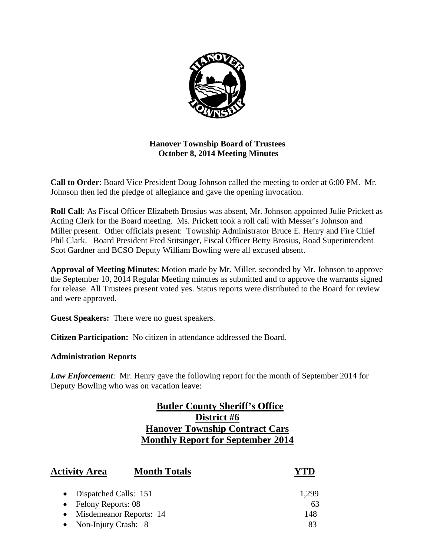

# **Hanover Township Board of Trustees October 8, 2014 Meeting Minutes**

**Call to Order**: Board Vice President Doug Johnson called the meeting to order at 6:00 PM. Mr. Johnson then led the pledge of allegiance and gave the opening invocation.

**Roll Call**: As Fiscal Officer Elizabeth Brosius was absent, Mr. Johnson appointed Julie Prickett as Acting Clerk for the Board meeting. Ms. Prickett took a roll call with Messer's Johnson and Miller present. Other officials present: Township Administrator Bruce E. Henry and Fire Chief Phil Clark. Board President Fred Stitsinger, Fiscal Officer Betty Brosius, Road Superintendent Scot Gardner and BCSO Deputy William Bowling were all excused absent.

**Approval of Meeting Minutes**: Motion made by Mr. Miller, seconded by Mr. Johnson to approve the September 10, 2014 Regular Meeting minutes as submitted and to approve the warrants signed for release. All Trustees present voted yes. Status reports were distributed to the Board for review and were approved.

**Guest Speakers:** There were no guest speakers.

**Citizen Participation:** No citizen in attendance addressed the Board.

## **Administration Reports**

*Law Enforcement*: Mr. Henry gave the following report for the month of September 2014 for Deputy Bowling who was on vacation leave:

# **Butler County Sheriff's Office District #6 Hanover Township Contract Cars Monthly Report for September 2014**

| <b>Activity Area</b>         | <b>Month Totals</b> |       |
|------------------------------|---------------------|-------|
| • Dispatched Calls: 151      |                     | 1,299 |
| $\bullet$ Felony Reports: 08 |                     | 63    |
| • Misdemeanor Reports: 14    |                     | 148   |
| • Non-Injury Crash: 8        |                     | 83    |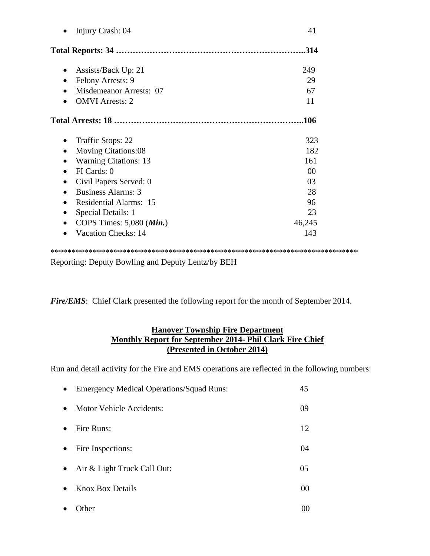| Injury Crash: 04                       | 41             |
|----------------------------------------|----------------|
|                                        | .314           |
| Assists/Back Up: 21                    | 249            |
| Felony Arrests: 9                      | 29             |
| Misdemeanor Arrests: 07                | 67             |
| <b>OMVI</b> Arrests: 2                 | 11             |
|                                        |                |
| Traffic Stops: 22                      | 323            |
| <b>Moving Citations:08</b>             | 182            |
| <b>Warning Citations: 13</b>           | 161            |
| FI Cards: 0                            | 0 <sup>0</sup> |
| Civil Papers Served: 0                 | 03             |
| <b>Business Alarms: 3</b><br>$\bullet$ | 28             |
| <b>Residential Alarms: 15</b>          | 96             |
| Special Details: 1                     | 23             |
| COPS Times: $5,080$ ( <i>Min.</i> )    | 46,245         |
|                                        |                |

Reporting: Deputy Bowling and Deputy Lentz/by BEH

*Fire/EMS*: Chief Clark presented the following report for the month of September 2014.

# **Hanover Township Fire Department Monthly Report for September 2014- Phil Clark Fire Chief (Presented in October 2014)**

Run and detail activity for the Fire and EMS operations are reflected in the following numbers:

| $\bullet$ | <b>Emergency Medical Operations/Squad Runs:</b> | 45 |
|-----------|-------------------------------------------------|----|
| $\bullet$ | Motor Vehicle Accidents:                        | 09 |
| $\bullet$ | Fire Runs:                                      | 12 |
| $\bullet$ | Fire Inspections:                               | 04 |
| $\bullet$ | Air & Light Truck Call Out:                     | 05 |
| $\bullet$ | <b>Knox Box Details</b>                         | 00 |
|           | <i>I</i> ther                                   | 00 |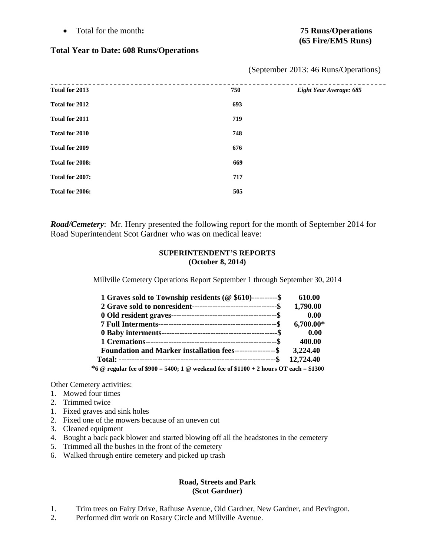Total for the month**: 75 Runs/Operations** 

# **(65 Fire/EMS Runs)**

## **Total Year to Date: 608 Runs/Operations**

| Total for 2013  | 750 | Eight Year Average: 685 |
|-----------------|-----|-------------------------|
| Total for 2012  | 693 |                         |
| Total for 2011  | 719 |                         |
| Total for 2010  | 748 |                         |
| Total for 2009  | 676 |                         |
| Total for 2008: | 669 |                         |
| Total for 2007: | 717 |                         |
| Total for 2006: | 505 |                         |

(September 2013: 46 Runs/Operations)

*Road/Cemetery*: Mr. Henry presented the following report for the month of September 2014 for Road Superintendent Scot Gardner who was on medical leave:

## **SUPERINTENDENT'S REPORTS (October 8, 2014)**

Millville Cemetery Operations Report September 1 through September 30, 2014

| 1 Graves sold to Township residents (@ \$610)----------\$                              | 610.00      |
|----------------------------------------------------------------------------------------|-------------|
|                                                                                        | 1,790.00    |
|                                                                                        | 0.00        |
|                                                                                        | $6,700.00*$ |
|                                                                                        | 0.00        |
|                                                                                        | 400.00      |
| Foundation and Marker installation fees-----------------\$                             | 3,224.40    |
|                                                                                        | 12,724.40   |
| *6 @ regular fee of \$900 = 5400; 1 @ weekend fee of \$1100 + 2 hours OT each = \$1300 |             |

Other Cemetery activities:

- 1. Mowed four times
- 2. Trimmed twice
- 1. Fixed graves and sink holes
- 2. Fixed one of the mowers because of an uneven cut
- 3. Cleaned equipment
- 4. Bought a back pack blower and started blowing off all the headstones in the cemetery
- 5. Trimmed all the bushes in the front of the cemetery
- 6. Walked through entire cemetery and picked up trash

#### **Road, Streets and Park (Scot Gardner)**

- 1. Trim trees on Fairy Drive, Rafhuse Avenue, Old Gardner, New Gardner, and Bevington.
- 2. Performed dirt work on Rosary Circle and Millville Avenue.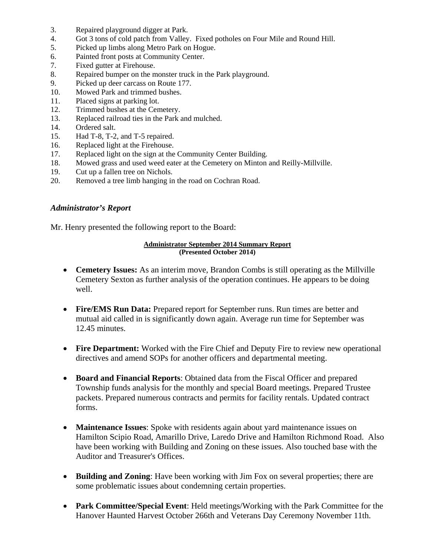- 3. Repaired playground digger at Park.
- 4. Got 3 tons of cold patch from Valley. Fixed potholes on Four Mile and Round Hill.
- 5. Picked up limbs along Metro Park on Hogue.
- 6. Painted front posts at Community Center.
- 7. Fixed gutter at Firehouse.
- 8. Repaired bumper on the monster truck in the Park playground.
- 9. Picked up deer carcass on Route 177.
- 10. Mowed Park and trimmed bushes.
- 11. Placed signs at parking lot.
- 12. Trimmed bushes at the Cemetery.
- 13. Replaced railroad ties in the Park and mulched.
- 14. Ordered salt.
- 15. Had T-8, T-2, and T-5 repaired.
- 16. Replaced light at the Firehouse.
- 17. Replaced light on the sign at the Community Center Building.
- 18. Mowed grass and used weed eater at the Cemetery on Minton and Reilly-Millville.
- 19. Cut up a fallen tree on Nichols.
- 20. Removed a tree limb hanging in the road on Cochran Road.

## *Administrator's Report*

Mr. Henry presented the following report to the Board:

#### **Administrator September 2014 Summary Report (Presented October 2014)**

- **Cemetery Issues:** As an interim move, Brandon Combs is still operating as the Millville Cemetery Sexton as further analysis of the operation continues. He appears to be doing well.
- **Fire/EMS Run Data:** Prepared report for September runs. Run times are better and mutual aid called in is significantly down again. Average run time for September was 12.45 minutes.
- **Fire Department:** Worked with the Fire Chief and Deputy Fire to review new operational directives and amend SOPs for another officers and departmental meeting.
- **Board and Financial Reports**: Obtained data from the Fiscal Officer and prepared Township funds analysis for the monthly and special Board meetings. Prepared Trustee packets. Prepared numerous contracts and permits for facility rentals. Updated contract forms.
- **Maintenance Issues**: Spoke with residents again about yard maintenance issues on Hamilton Scipio Road, Amarillo Drive, Laredo Drive and Hamilton Richmond Road. Also have been working with Building and Zoning on these issues. Also touched base with the Auditor and Treasurer's Offices.
- **Building and Zoning**: Have been working with Jim Fox on several properties; there are some problematic issues about condemning certain properties.
- **Park Committee/Special Event**: Held meetings/Working with the Park Committee for the Hanover Haunted Harvest October 266th and Veterans Day Ceremony November 11th.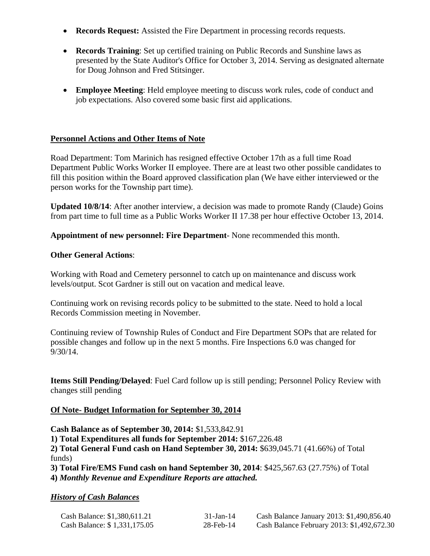- **Records Request:** Assisted the Fire Department in processing records requests.
- **Records Training**: Set up certified training on Public Records and Sunshine laws as presented by the State Auditor's Office for October 3, 2014. Serving as designated alternate for Doug Johnson and Fred Stitsinger.
- **Employee Meeting**: Held employee meeting to discuss work rules, code of conduct and job expectations. Also covered some basic first aid applications.

# **Personnel Actions and Other Items of Note**

Road Department: Tom Marinich has resigned effective October 17th as a full time Road Department Public Works Worker II employee. There are at least two other possible candidates to fill this position within the Board approved classification plan (We have either interviewed or the person works for the Township part time).

**Updated 10/8/14**: After another interview, a decision was made to promote Randy (Claude) Goins from part time to full time as a Public Works Worker II 17.38 per hour effective October 13, 2014.

**Appointment of new personnel: Fire Department**- None recommended this month.

# **Other General Actions**:

Working with Road and Cemetery personnel to catch up on maintenance and discuss work levels/output. Scot Gardner is still out on vacation and medical leave.

Continuing work on revising records policy to be submitted to the state. Need to hold a local Records Commission meeting in November.

Continuing review of Township Rules of Conduct and Fire Department SOPs that are related for possible changes and follow up in the next 5 months. Fire Inspections 6.0 was changed for 9/30/14.

**Items Still Pending/Delayed**: Fuel Card follow up is still pending; Personnel Policy Review with changes still pending

## **Of Note- Budget Information for September 30, 2014**

**Cash Balance as of September 30, 2014:** \$1,533,842.91

**1) Total Expenditures all funds for September 2014:** \$167,226.48

**2) Total General Fund cash on Hand September 30, 2014:** \$639,045.71 (41.66%) of Total funds)

**3) Total Fire/EMS Fund cash on hand September 30, 2014**: \$425,567.63 (27.75%) of Total **4)** *Monthly Revenue and Expenditure Reports are attached.* 

# *History of Cash Balances*

| Cash Balance: \$1,380,611.21 | $31-Jan-14$  | Cash Balance January 2013: \$1,490,856.40  |
|------------------------------|--------------|--------------------------------------------|
| Cash Balance: \$1,331,175.05 | $28$ -Feb-14 | Cash Balance February 2013: \$1,492,672.30 |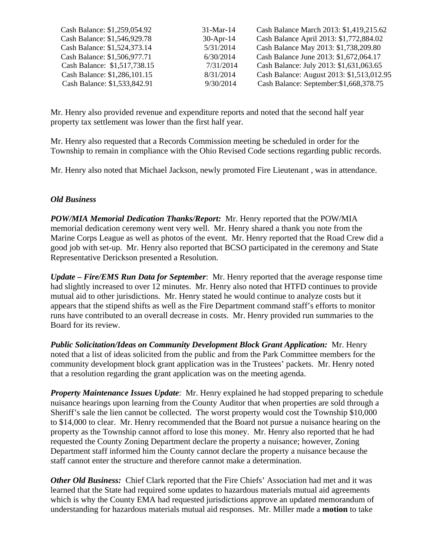| Cash Balance: \$1,259,054.92 | $31$ -Mar-14 | Cash Balance March 2013: \$1,419,215.62   |
|------------------------------|--------------|-------------------------------------------|
| Cash Balance: \$1,546,929.78 | $30-Apr-14$  | Cash Balance April 2013: \$1,772,884.02   |
| Cash Balance: \$1,524,373.14 | 5/31/2014    | Cash Balance May 2013: \$1,738,209.80     |
| Cash Balance: \$1,506,977.71 | 6/30/2014    | Cash Balance June 2013: \$1,672,064.17    |
| Cash Balance: \$1,517,738.15 | 7/31/2014    | Cash Balance: July 2013: \$1,631,063.65   |
| Cash Balance: \$1,286,101.15 | 8/31/2014    | Cash Balance: August 2013: \$1,513,012.95 |
| Cash Balance: \$1,533,842.91 | 9/30/2014    | Cash Balance: September: \$1,668,378.75   |

Mr. Henry also provided revenue and expenditure reports and noted that the second half year property tax settlement was lower than the first half year.

Mr. Henry also requested that a Records Commission meeting be scheduled in order for the Township to remain in compliance with the Ohio Revised Code sections regarding public records.

Mr. Henry also noted that Michael Jackson, newly promoted Fire Lieutenant , was in attendance.

# *Old Business*

*POW/MIA Memorial Dedication Thanks/Report:* Mr. Henry reported that the POW/MIA memorial dedication ceremony went very well. Mr. Henry shared a thank you note from the Marine Corps League as well as photos of the event. Mr. Henry reported that the Road Crew did a good job with set-up. Mr. Henry also reported that BCSO participated in the ceremony and State Representative Derickson presented a Resolution.

*Update – Fire/EMS Run Data for September*: Mr. Henry reported that the average response time had slightly increased to over 12 minutes. Mr. Henry also noted that HTFD continues to provide mutual aid to other jurisdictions. Mr. Henry stated he would continue to analyze costs but it appears that the stipend shifts as well as the Fire Department command staff's efforts to monitor runs have contributed to an overall decrease in costs. Mr. Henry provided run summaries to the Board for its review.

*Public Solicitation/Ideas on Community Development Block Grant Application:* Mr. Henry noted that a list of ideas solicited from the public and from the Park Committee members for the community development block grant application was in the Trustees' packets. Mr. Henry noted that a resolution regarding the grant application was on the meeting agenda.

*Property Maintenance Issues Update*: Mr. Henry explained he had stopped preparing to schedule nuisance hearings upon learning from the County Auditor that when properties are sold through a Sheriff's sale the lien cannot be collected. The worst property would cost the Township \$10,000 to \$14,000 to clear. Mr. Henry recommended that the Board not pursue a nuisance hearing on the property as the Township cannot afford to lose this money. Mr. Henry also reported that he had requested the County Zoning Department declare the property a nuisance; however, Zoning Department staff informed him the County cannot declare the property a nuisance because the staff cannot enter the structure and therefore cannot make a determination.

*Other Old Business:* Chief Clark reported that the Fire Chiefs' Association had met and it was learned that the State had required some updates to hazardous materials mutual aid agreements which is why the County EMA had requested jurisdictions approve an updated memorandum of understanding for hazardous materials mutual aid responses. Mr. Miller made a **motion** to take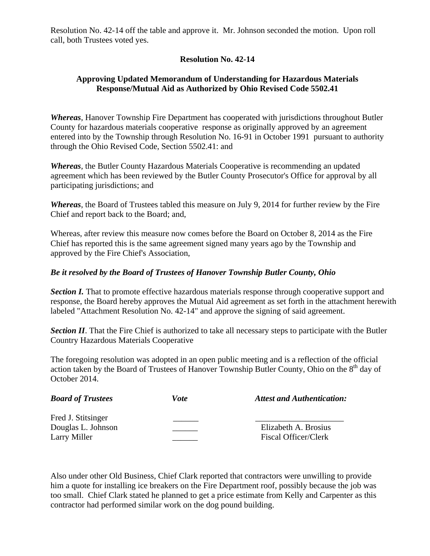Resolution No. 42-14 off the table and approve it. Mr. Johnson seconded the motion. Upon roll call, both Trustees voted yes.

# **Resolution No. 42-14**

# **Approving Updated Memorandum of Understanding for Hazardous Materials Response/Mutual Aid as Authorized by Ohio Revised Code 5502.41**

*Whereas*, Hanover Township Fire Department has cooperated with jurisdictions throughout Butler County for hazardous materials cooperative response as originally approved by an agreement entered into by the Township through Resolution No. 16-91 in October 1991 pursuant to authority through the Ohio Revised Code, Section 5502.41: and

*Whereas*, the Butler County Hazardous Materials Cooperative is recommending an updated agreement which has been reviewed by the Butler County Prosecutor's Office for approval by all participating jurisdictions; and

*Whereas*, the Board of Trustees tabled this measure on July 9, 2014 for further review by the Fire Chief and report back to the Board; and,

Whereas, after review this measure now comes before the Board on October 8, 2014 as the Fire Chief has reported this is the same agreement signed many years ago by the Township and approved by the Fire Chief's Association,

# *Be it resolved by the Board of Trustees of Hanover Township Butler County, Ohio*

*Section I.* That to promote effective hazardous materials response through cooperative support and response, the Board hereby approves the Mutual Aid agreement as set forth in the attachment herewith labeled "Attachment Resolution No. 42-14" and approve the signing of said agreement.

*Section II*. That the Fire Chief is authorized to take all necessary steps to participate with the Butler Country Hazardous Materials Cooperative

The foregoing resolution was adopted in an open public meeting and is a reflection of the official action taken by the Board of Trustees of Hanover Township Butler County, Ohio on the 8<sup>th</sup> day of October 2014.

| <b>Board of Trustees</b>                                 | Vote | <b>Attest and Authentication:</b>                   |
|----------------------------------------------------------|------|-----------------------------------------------------|
| Fred J. Stitsinger<br>Douglas L. Johnson<br>Larry Miller |      | Elizabeth A. Brosius<br><b>Fiscal Officer/Clerk</b> |

Also under other Old Business, Chief Clark reported that contractors were unwilling to provide him a quote for installing ice breakers on the Fire Department roof, possibly because the job was too small. Chief Clark stated he planned to get a price estimate from Kelly and Carpenter as this contractor had performed similar work on the dog pound building.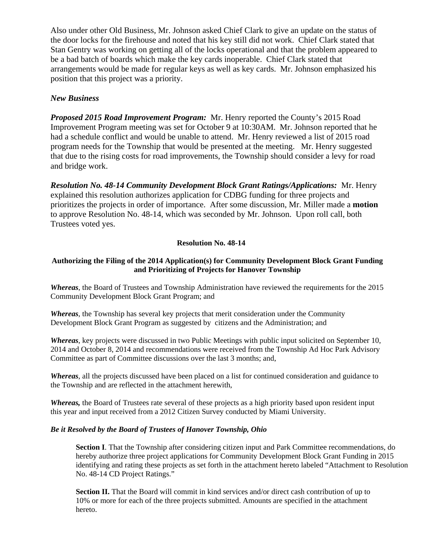Also under other Old Business, Mr. Johnson asked Chief Clark to give an update on the status of the door locks for the firehouse and noted that his key still did not work. Chief Clark stated that Stan Gentry was working on getting all of the locks operational and that the problem appeared to be a bad batch of boards which make the key cards inoperable. Chief Clark stated that arrangements would be made for regular keys as well as key cards. Mr. Johnson emphasized his position that this project was a priority.

# *New Business*

*Proposed 2015 Road Improvement Program:* Mr. Henry reported the County's 2015 Road Improvement Program meeting was set for October 9 at 10:30AM. Mr. Johnson reported that he had a schedule conflict and would be unable to attend. Mr. Henry reviewed a list of 2015 road program needs for the Township that would be presented at the meeting. Mr. Henry suggested that due to the rising costs for road improvements, the Township should consider a levy for road and bridge work.

*Resolution No. 48-14 Community Development Block Grant Ratings/Applications:* Mr. Henry explained this resolution authorizes application for CDBG funding for three projects and prioritizes the projects in order of importance. After some discussion, Mr. Miller made a **motion** to approve Resolution No. 48-14, which was seconded by Mr. Johnson. Upon roll call, both Trustees voted yes.

#### **Resolution No. 48-14**

## **Authorizing the Filing of the 2014 Application(s) for Community Development Block Grant Funding and Prioritizing of Projects for Hanover Township**

*Whereas*, the Board of Trustees and Township Administration have reviewed the requirements for the 2015 Community Development Block Grant Program; and

*Whereas*, the Township has several key projects that merit consideration under the Community Development Block Grant Program as suggested by citizens and the Administration; and

*Whereas*, key projects were discussed in two Public Meetings with public input solicited on September 10, 2014 and October 8, 2014 and recommendations were received from the Township Ad Hoc Park Advisory Committee as part of Committee discussions over the last 3 months; and,

*Whereas*, all the projects discussed have been placed on a list for continued consideration and guidance to the Township and are reflected in the attachment herewith,

*Whereas,* the Board of Trustees rate several of these projects as a high priority based upon resident input this year and input received from a 2012 Citizen Survey conducted by Miami University.

#### *Be it Resolved by the Board of Trustees of Hanover Township, Ohio*

**Section I**. That the Township after considering citizen input and Park Committee recommendations, do hereby authorize three project applications for Community Development Block Grant Funding in 2015 identifying and rating these projects as set forth in the attachment hereto labeled "Attachment to Resolution No. 48-14 CD Project Ratings."

**Section II.** That the Board will commit in kind services and/or direct cash contribution of up to 10% or more for each of the three projects submitted. Amounts are specified in the attachment hereto.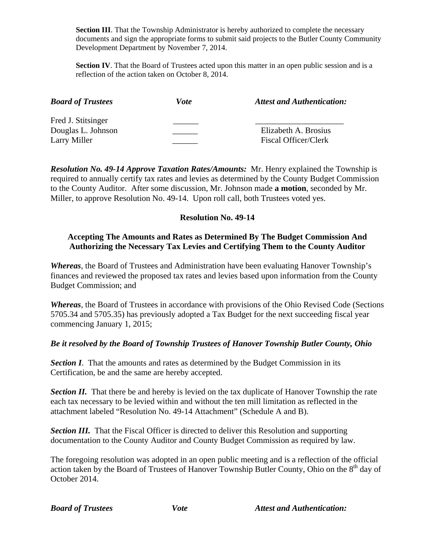**Section III**. That the Township Administrator is hereby authorized to complete the necessary documents and sign the appropriate forms to submit said projects to the Butler County Community Development Department by November 7, 2014.

**Section IV**. That the Board of Trustees acted upon this matter in an open public session and is a reflection of the action taken on October 8, 2014.

| <b>Board of Trustees</b> | <i>Vote</i> | <b>Attest and Authentication:</b> |
|--------------------------|-------------|-----------------------------------|
| Fred J. Stitsinger       |             |                                   |
| Douglas L. Johnson       |             | Elizabeth A. Brosius              |
| Larry Miller             |             | Fiscal Officer/Clerk              |

*Resolution No. 49-14 Approve Taxation Rates/Amounts:* Mr. Henry explained the Township is required to annually certify tax rates and levies as determined by the County Budget Commission to the County Auditor. After some discussion, Mr. Johnson made **a motion**, seconded by Mr. Miller, to approve Resolution No. 49-14. Upon roll call, both Trustees voted yes.

# **Resolution No. 49-14**

# **Accepting The Amounts and Rates as Determined By The Budget Commission And Authorizing the Necessary Tax Levies and Certifying Them to the County Auditor**

*Whereas*, the Board of Trustees and Administration have been evaluating Hanover Township's finances and reviewed the proposed tax rates and levies based upon information from the County Budget Commission; and

*Whereas*, the Board of Trustees in accordance with provisions of the Ohio Revised Code (Sections 5705.34 and 5705.35) has previously adopted a Tax Budget for the next succeeding fiscal year commencing January 1, 2015;

# *Be it resolved by the Board of Township Trustees of Hanover Township Butler County, Ohio*

**Section I**. That the amounts and rates as determined by the Budget Commission in its Certification, be and the same are hereby accepted.

**Section II.** That there be and hereby is levied on the tax duplicate of Hanover Township the rate each tax necessary to be levied within and without the ten mill limitation as reflected in the attachment labeled "Resolution No. 49-14 Attachment" (Schedule A and B).

*Section III.* That the Fiscal Officer is directed to deliver this Resolution and supporting documentation to the County Auditor and County Budget Commission as required by law.

The foregoing resolution was adopted in an open public meeting and is a reflection of the official action taken by the Board of Trustees of Hanover Township Butler County, Ohio on the 8<sup>th</sup> day of October 2014.

*Board of Trustees* Vote Attest and Authentication: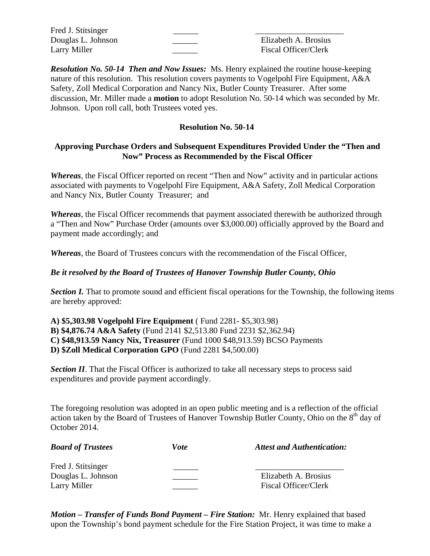| Fred J. Stitsinger |                             |
|--------------------|-----------------------------|
| Douglas L. Johnson | Elizabeth A. Brosius        |
| Larry Miller       | <b>Fiscal Officer/Clerk</b> |

*Resolution No. 50-14 Then and Now Issues:* Ms. Henry explained the routine house-keeping nature of this resolution. This resolution covers payments to Vogelpohl Fire Equipment, A&A Safety, Zoll Medical Corporation and Nancy Nix, Butler County Treasurer. After some discussion, Mr. Miller made a **motion** to adopt Resolution No. 50-14 which was seconded by Mr. Johnson. Upon roll call, both Trustees voted yes.

# **Resolution No. 50-14**

# **Approving Purchase Orders and Subsequent Expenditures Provided Under the "Then and Now" Process as Recommended by the Fiscal Officer**

*Whereas*, the Fiscal Officer reported on recent "Then and Now" activity and in particular actions associated with payments to Vogelpohl Fire Equipment, A&A Safety, Zoll Medical Corporation and Nancy Nix, Butler County Treasurer; and

*Whereas*, the Fiscal Officer recommends that payment associated therewith be authorized through a "Then and Now" Purchase Order (amounts over \$3,000.00) officially approved by the Board and payment made accordingly; and

*Whereas*, the Board of Trustees concurs with the recommendation of the Fiscal Officer,

# *Be it resolved by the Board of Trustees of Hanover Township Butler County, Ohio*

*Section I.* That to promote sound and efficient fiscal operations for the Township, the following items are hereby approved:

**A) \$5,303.98 Vogelpohl Fire Equipment** ( Fund 2281- \$5,303.98) **B) \$4,876.74 A&A Safety** (Fund 2141 \$2,513.80 Fund 2231 \$2,362.94) **C) \$48,913.59 Nancy Nix, Treasurer** (Fund 1000 \$48,913.59) BCSO Payments **D) \$Zoll Medical Corporation GPO** (Fund 2281 \$4,500.00)

*Section II*. That the Fiscal Officer is authorized to take all necessary steps to process said expenditures and provide payment accordingly.

The foregoing resolution was adopted in an open public meeting and is a reflection of the official action taken by the Board of Trustees of Hanover Township Butler County, Ohio on the 8<sup>th</sup> day of October 2014.

| <b>Board of Trustees</b> | Vote | <b>Attest and Authentication:</b> |
|--------------------------|------|-----------------------------------|
| Fred J. Stitsinger       |      |                                   |
| Douglas L. Johnson       |      | Elizabeth A. Brosius              |
| Larry Miller             |      | Fiscal Officer/Clerk              |

*Motion – Transfer of Funds Bond Payment – Fire Station:* Mr. Henry explained that based upon the Township's bond payment schedule for the Fire Station Project, it was time to make a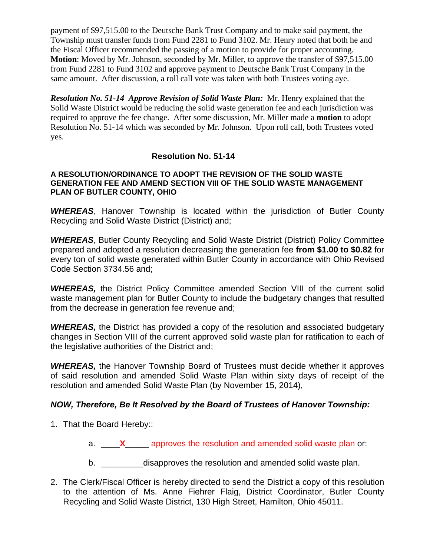payment of \$97,515.00 to the Deutsche Bank Trust Company and to make said payment, the Township must transfer funds from Fund 2281 to Fund 3102. Mr. Henry noted that both he and the Fiscal Officer recommended the passing of a motion to provide for proper accounting. **Motion**: Moved by Mr. Johnson, seconded by Mr. Miller, to approve the transfer of \$97,515.00 from Fund 2281 to Fund 3102 and approve payment to Deutsche Bank Trust Company in the same amount. After discussion, a roll call vote was taken with both Trustees voting aye.

*Resolution No. 51-14 Approve Revision of Solid Waste Plan:* Mr. Henry explained that the Solid Waste District would be reducing the solid waste generation fee and each jurisdiction was required to approve the fee change. After some discussion, Mr. Miller made a **motion** to adopt Resolution No. 51-14 which was seconded by Mr. Johnson. Upon roll call, both Trustees voted yes.

# **Resolution No. 51-14**

## **A RESOLUTION/ORDINANCE TO ADOPT THE REVISION OF THE SOLID WASTE GENERATION FEE AND AMEND SECTION VIII OF THE SOLID WASTE MANAGEMENT PLAN OF BUTLER COUNTY, OHIO**

*WHEREAS*, Hanover Township is located within the jurisdiction of Butler County Recycling and Solid Waste District (District) and;

*WHEREAS*, Butler County Recycling and Solid Waste District (District) Policy Committee prepared and adopted a resolution decreasing the generation fee **from \$1.00 to \$0.82** for every ton of solid waste generated within Butler County in accordance with Ohio Revised Code Section 3734.56 and;

*WHEREAS,* the District Policy Committee amended Section VIII of the current solid waste management plan for Butler County to include the budgetary changes that resulted from the decrease in generation fee revenue and;

*WHEREAS,* the District has provided a copy of the resolution and associated budgetary changes in Section VIII of the current approved solid waste plan for ratification to each of the legislative authorities of the District and;

*WHEREAS,* the Hanover Township Board of Trustees must decide whether it approves of said resolution and amended Solid Waste Plan within sixty days of receipt of the resolution and amended Solid Waste Plan (by November 15, 2014),

# *NOW, Therefore, Be It Resolved by the Board of Trustees of Hanover Township:*

- 1. That the Board Hereby::
	- a. \_\_\_\_**X**\_\_\_\_\_ approves the resolution and amended solid waste plan or:
	- b. **\_\_\_\_\_\_\_\_\_disapproves the resolution and amended solid waste plan.**
- 2. The Clerk/Fiscal Officer is hereby directed to send the District a copy of this resolution to the attention of Ms. Anne Fiehrer Flaig, District Coordinator, Butler County Recycling and Solid Waste District, 130 High Street, Hamilton, Ohio 45011.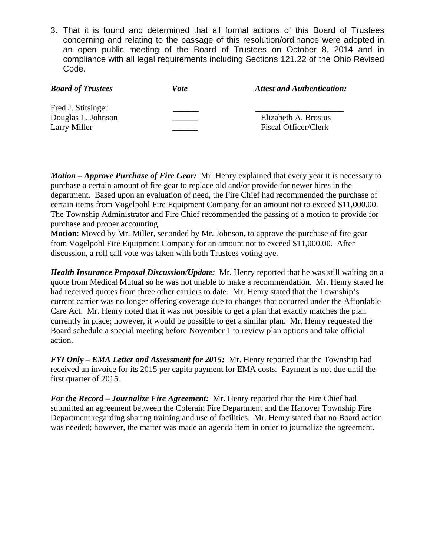3. That it is found and determined that all formal actions of this Board of Trustees concerning and relating to the passage of this resolution/ordinance were adopted in an open public meeting of the Board of Trustees on October 8, 2014 and in compliance with all legal requirements including Sections 121.22 of the Ohio Revised Code.

| <b>Board of Trustees</b> | Vote | <b>Attest and Authentication:</b> |
|--------------------------|------|-----------------------------------|
| Fred J. Stitsinger       |      |                                   |
| Douglas L. Johnson       |      | Elizabeth A. Brosius              |
| Larry Miller             |      | Fiscal Officer/Clerk              |

*Motion – Approve Purchase of Fire Gear:* Mr. Henry explained that every year it is necessary to purchase a certain amount of fire gear to replace old and/or provide for newer hires in the department. Based upon an evaluation of need, the Fire Chief had recommended the purchase of certain items from Vogelpohl Fire Equipment Company for an amount not to exceed \$11,000.00. The Township Administrator and Fire Chief recommended the passing of a motion to provide for purchase and proper accounting.

**Motion**: Moved by Mr. Miller, seconded by Mr. Johnson, to approve the purchase of fire gear from Vogelpohl Fire Equipment Company for an amount not to exceed \$11,000.00. After discussion, a roll call vote was taken with both Trustees voting aye.

*Health Insurance Proposal Discussion/Update:* Mr. Henry reported that he was still waiting on a quote from Medical Mutual so he was not unable to make a recommendation. Mr. Henry stated he had received quotes from three other carriers to date. Mr. Henry stated that the Township's current carrier was no longer offering coverage due to changes that occurred under the Affordable Care Act. Mr. Henry noted that it was not possible to get a plan that exactly matches the plan currently in place; however, it would be possible to get a similar plan. Mr. Henry requested the Board schedule a special meeting before November 1 to review plan options and take official action.

*FYI Only – EMA Letter and Assessment for 2015:* Mr. Henry reported that the Township had received an invoice for its 2015 per capita payment for EMA costs. Payment is not due until the first quarter of 2015.

*For the Record – Journalize Fire Agreement:* Mr. Henry reported that the Fire Chief had submitted an agreement between the Colerain Fire Department and the Hanover Township Fire Department regarding sharing training and use of facilities. Mr. Henry stated that no Board action was needed; however, the matter was made an agenda item in order to journalize the agreement.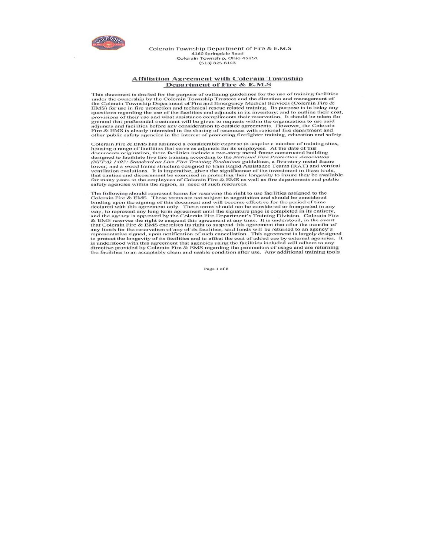

Colerain Township Department of Fire & E.M.S 4160 Springdale Road<br>Colerain Township, Ohio 45251 (513) 825-6143

#### **Affiliation Agreement with Colerain Township** Department of Fire & E.M.S

This document is drafted for the purpose of outlining guidelines for the use of training facilities<br>under the ownership by the Colerain Township Trustees and the direction and management of<br>the Colerain Township Departmen granted that preferential treatment will be given to requests within the organization to use said adjuncts and facilities before any consideration to outside agreements. However, the Colerain Fire & EMS is clearly interest other public safety agencies in the interest of promoting firefighter training, education and safety.

Colerain Fire & EMS has assumed a considerable expense to acquire a number of training sites,<br>housing a range of facilities that serve as adjuncts for its employees. At the date of this<br>decuments origination, these facili safety agencies within the region, in need of such resources.

The following should represent terms for reserving the right to use facilities assigned to the The following should represent terms for reserving the right to use facilities assigned to the Colerain Fire & EMS. These terms are not subject to negotiation and should be considered binding upon the signing of this docu directive provided by Colerain Fire & EMS regarding the parameters of usage and are returning<br>the facilities to an acceptably clean and usable condition after use. Any additional training tools

Page 1 of 5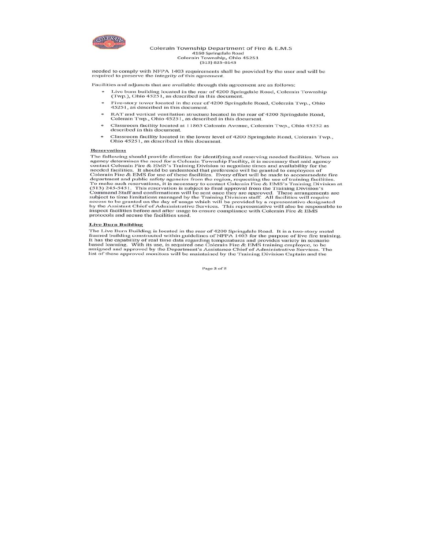

Colerain Township Department of Fire & E.M.S 4160 Springdale Road<br>Colerain Township, Ohio 45251  $(513) 825 - 6143$ 

needed to comply with NFPA 1403 requirements shall be provided by the user and will be required to preserve the integrity of this agreement.

Facilities and adjuncts that are available through this agreement are as follows:

- Live burn building located in the rear of 4200 Springdale Road, Colerain Township (Twp.), Ohio 45251, as described in this document.
- Five-story tower located in the rear of 4200 Springdale Road, Colerain Twp., Ohio  $\bullet$ 45251, as described in this document.
- RAT and vertical ventilation structure located in the rear of 4200 Springdale Road, Colerain Twp., Ohio 45251, as described in this document.
- Classroom facility located at 11865 Colerain Avenue, Colerain Twp., Ohio 45252 as described in this document.
- Classroom facility located in the lower level of 4200 Springdale Road, Colerain Twp., Ohio 45251, as described in this document.

#### **Reservations**

**Reservations**<br>The following should provide direction for identifying and reserving needed facilities. When an<br>The following should provide direction for identifying and reserving needed facilities. When an<br>gency determin inspect facilities before and after usage to ensure compliance with Colerain Fire & EMS protocols and secure the facilities used.

#### **Live Burn Building**

The Live Burn Building is located in the rear of 4200 Springdale Road. It is a two-story metal<br>framed building constructed within guidelines of NFPA 1403 for the purpose of live fire training.<br>It has the capability of real

Page 2 of 5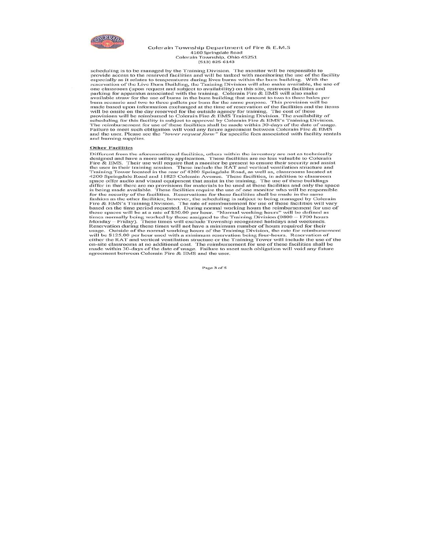

#### Colerain Township Department of Fire & E.M.S 4160 Springdale Road Colerain Township, Ohio 45251  $(513) 825 - 6143$

scheduling is to be managed by the Training Division. The monitor will be responsible to<br>provide access to the reserved facilities and will be tasked with monitoring the use of the facility<br>especially as it relates to temp especially as it relates to temperatures during lives burns within the burn building. With the creery ration of the Live Burn Building, the Training Division will also make available, the use of one classroom (upon reques Failure to meet such obligation will void any future agreement between Colerain Fire & EMS<br>and the user. Please see the "tower request form" for specific fees associated with facility rentals and burning supplies.

#### **Other Facilities**

**Other Facilities**<br> **Other Facilities**<br>
Different from the aforementioned facilities, others within the inventory are not as technically<br>
Designed and have a more utility application. These facilities are no less valuable reservation during these times will not nave a minimum number or nours required for context<br>usage. Outside of the normal working hours of the Training Division, the rate for reinbursement<br>will be \$125.00 per hour used with agreement between Colerain Fire & EMS and the user.

Page 3 of 5